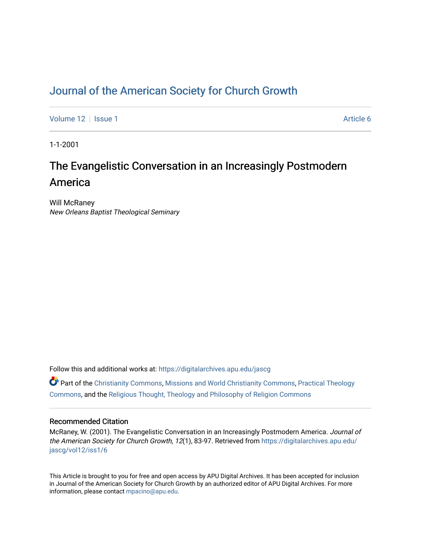## [Journal of the American Society for Church Growth](https://digitalarchives.apu.edu/jascg)

[Volume 12](https://digitalarchives.apu.edu/jascg/vol12) | [Issue 1](https://digitalarchives.apu.edu/jascg/vol12/iss1) Article 6

1-1-2001

# The Evangelistic Conversation in an Increasingly Postmodern America

Will McRaney New Orleans Baptist Theological Seminary

Follow this and additional works at: [https://digitalarchives.apu.edu/jascg](https://digitalarchives.apu.edu/jascg?utm_source=digitalarchives.apu.edu%2Fjascg%2Fvol12%2Fiss1%2F6&utm_medium=PDF&utm_campaign=PDFCoverPages) 

 $\bullet$  Part of the [Christianity Commons,](http://network.bepress.com/hgg/discipline/1181?utm_source=digitalarchives.apu.edu%2Fjascg%2Fvol12%2Fiss1%2F6&utm_medium=PDF&utm_campaign=PDFCoverPages) [Missions and World Christianity Commons](http://network.bepress.com/hgg/discipline/1187?utm_source=digitalarchives.apu.edu%2Fjascg%2Fvol12%2Fiss1%2F6&utm_medium=PDF&utm_campaign=PDFCoverPages), Practical Theology [Commons](http://network.bepress.com/hgg/discipline/1186?utm_source=digitalarchives.apu.edu%2Fjascg%2Fvol12%2Fiss1%2F6&utm_medium=PDF&utm_campaign=PDFCoverPages), and the [Religious Thought, Theology and Philosophy of Religion Commons](http://network.bepress.com/hgg/discipline/544?utm_source=digitalarchives.apu.edu%2Fjascg%2Fvol12%2Fiss1%2F6&utm_medium=PDF&utm_campaign=PDFCoverPages) 

## Recommended Citation

McRaney, W. (2001). The Evangelistic Conversation in an Increasingly Postmodern America. Journal of the American Society for Church Growth, 12(1), 83-97. Retrieved from [https://digitalarchives.apu.edu/](https://digitalarchives.apu.edu/jascg/vol12/iss1/6?utm_source=digitalarchives.apu.edu%2Fjascg%2Fvol12%2Fiss1%2F6&utm_medium=PDF&utm_campaign=PDFCoverPages) [jascg/vol12/iss1/6](https://digitalarchives.apu.edu/jascg/vol12/iss1/6?utm_source=digitalarchives.apu.edu%2Fjascg%2Fvol12%2Fiss1%2F6&utm_medium=PDF&utm_campaign=PDFCoverPages)

This Article is brought to you for free and open access by APU Digital Archives. It has been accepted for inclusion in Journal of the American Society for Church Growth by an authorized editor of APU Digital Archives. For more information, please contact [mpacino@apu.edu](mailto:mpacino@apu.edu).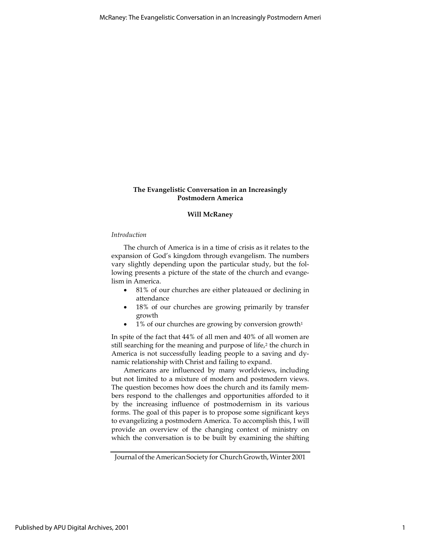## The Evangelistic Conversation in an Increasingly Postmodern America

## Will McRaney

## Introduction

The church of America is in a time of crisis as it relates to the expansion of God's kingdom through evangelism. The numbers vary slightly depending upon the particular study, but the following presents a picture of the state of the church and evangelism in America.

- 81% of our churches are either plateaued or declining in attendance
- 18% of our churches are growing primarily by transfer growth
- $\bullet$  1% of our churches are growing by conversion growth<sup>1</sup>

In spite of the fact that 44% of all men and 40% of all women are still searching for the meaning and purpose of life,<sup>2</sup> the church in America is not successfully leading people to a saving and dynamic relationship with Christ and failing to expand.

Americans are influenced by many worldviews, including but not limited to a mixture of modern and postmodern views. The question becomes how does the church and its family members respond to the challenges and opportunities afforded to it by the increasing influence of postmodernism in its various forms. The goal of this paper is to propose some significant keys to evangelizing a postmodern America. To accomplish this, I will provide an overview of the changing context of ministry on which the conversation is to be built by examining the shifting

Journal of the American Society for Church Growth, Winter 2001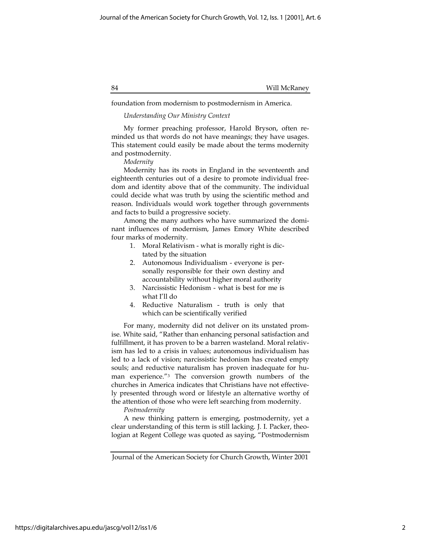foundation from modernism to postmodernism in America.

## Understanding Our Ministry Context

My former preaching professor, Harold Bryson, often reminded us that words do not have meanings; they have usages. This statement could easily be made about the terms modernity and postmodernity.

## Modernity

Modernity has its roots in England in the seventeenth and eighteenth centuries out of a desire to promote individual freedom and identity above that of the community. The individual could decide what was truth by using the scientific method and reason. Individuals would work together through governments and facts to build a progressive society.

Among the many authors who have summarized the dominant influences of modernism, James Emory White described four marks of modernity.

- 1. Moral Relativism what is morally right is dictated by the situation
- 2. Autonomous Individualism everyone is personally responsible for their own destiny and accountability without higher moral authority
- 3. Narcissistic Hedonism what is best for me is what I'll do
- 4. Reductive Naturalism truth is only that which can be scientifically verified

For many, modernity did not deliver on its unstated promise. White said, "Rather than enhancing personal satisfaction and fulfillment, it has proven to be a barren wasteland. Moral relativism has led to a crisis in values; autonomous individualism has led to a lack of vision; narcissistic hedonism has created empty souls; and reductive naturalism has proven inadequate for human experience."3 The conversion growth numbers of the churches in America indicates that Christians have not effectively presented through word or lifestyle an alternative worthy of the attention of those who were left searching from modernity.

## Postmodernity

A new thinking pattern is emerging, postmodernity, yet a clear understanding of this term is still lacking. J. I. Packer, theologian at Regent College was quoted as saying, "Postmodernism

Journal of the American Society for Church Growth, Winter 2001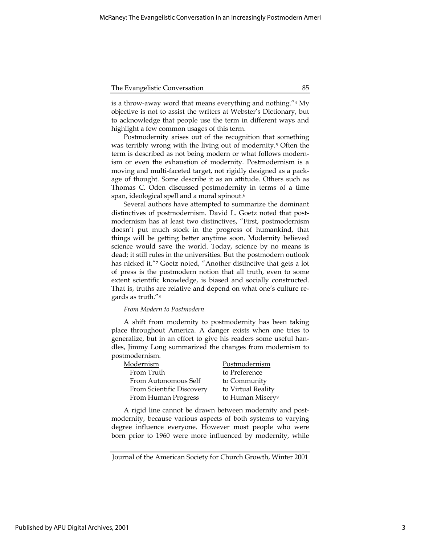is a throw-away word that means everything and nothing."4 My objective is not to assist the writers at Webster's Dictionary, but to acknowledge that people use the term in different ways and highlight a few common usages of this term.

Postmodernity arises out of the recognition that something was terribly wrong with the living out of modernity.5 Often the term is described as not being modern or what follows modernism or even the exhaustion of modernity. Postmodernism is a moving and multi-faceted target, not rigidly designed as a package of thought. Some describe it as an attitude. Others such as Thomas C. Oden discussed postmodernity in terms of a time span, ideological spell and a moral spinout.<sup>6</sup>

Several authors have attempted to summarize the dominant distinctives of postmodernism. David L. Goetz noted that postmodernism has at least two distinctives, "First, postmodernism doesn't put much stock in the progress of humankind, that things will be getting better anytime soon. Modernity believed science would save the world. Today, science by no means is dead; it still rules in the universities. But the postmodern outlook has nicked it."7 Goetz noted, "Another distinctive that gets a lot of press is the postmodern notion that all truth, even to some extent scientific knowledge, is biased and socially constructed. That is, truths are relative and depend on what one's culture regards as truth."<sup>8</sup>

## From Modern to Postmodern

A shift from modernity to postmodernity has been taking place throughout America. A danger exists when one tries to generalize, but in an effort to give his readers some useful handles, Jimmy Long summarized the changes from modernism to postmodernism.

| Modernism                 | Postmodernism                |
|---------------------------|------------------------------|
| From Truth                | to Preference                |
| From Autonomous Self      | to Community                 |
| From Scientific Discovery | to Virtual Reality           |
| From Human Progress       | to Human Misery <sup>9</sup> |

A rigid line cannot be drawn between modernity and postmodernity, because various aspects of both systems to varying degree influence everyone. However most people who were born prior to 1960 were more influenced by modernity, while

Journal of the American Society for Church Growth, Winter 2001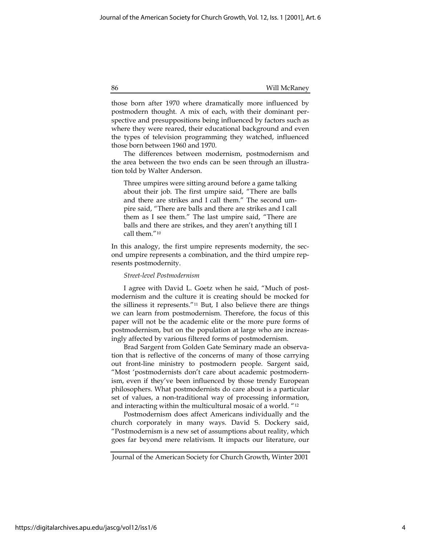those born after 1970 where dramatically more influenced by postmodern thought. A mix of each, with their dominant perspective and presuppositions being influenced by factors such as where they were reared, their educational background and even the types of television programming they watched, influenced those born between 1960 and 1970.

The differences between modernism, postmodernism and the area between the two ends can be seen through an illustration told by Walter Anderson.

Three umpires were sitting around before a game talking about their job. The first umpire said, "There are balls and there are strikes and I call them." The second umpire said, "There are balls and there are strikes and I call them as I see them." The last umpire said, "There are balls and there are strikes, and they aren't anything till I call them."<sup>10</sup>

In this analogy, the first umpire represents modernity, the second umpire represents a combination, and the third umpire represents postmodernity.

## Street-level Postmodernism

I agree with David L. Goetz when he said, "Much of postmodernism and the culture it is creating should be mocked for the silliness it represents."11 But, I also believe there are things we can learn from postmodernism. Therefore, the focus of this paper will not be the academic elite or the more pure forms of postmodernism, but on the population at large who are increasingly affected by various filtered forms of postmodernism.

Brad Sargent from Golden Gate Seminary made an observation that is reflective of the concerns of many of those carrying out front-line ministry to postmodern people. Sargent said, "Most 'postmodernists don't care about academic postmodernism, even if they've been influenced by those trendy European philosophers. What postmodernists do care about is a particular set of values, a non-traditional way of processing information, and interacting within the multicultural mosaic of a world. "<sup>12</sup>

Postmodernism does affect Americans individually and the church corporately in many ways. David S. Dockery said, "Postmodernism is a new set of assumptions about reality, which goes far beyond mere relativism. It impacts our literature, our

Journal of the American Society for Church Growth, Winter 2001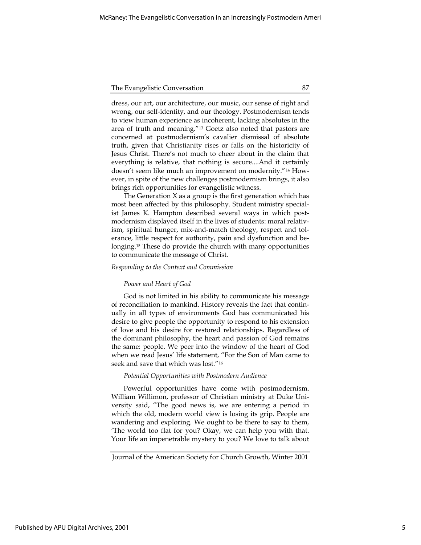dress, our art, our architecture, our music, our sense of right and wrong, our self-identity, and our theology. Postmodernism tends to view human experience as incoherent, lacking absolutes in the area of truth and meaning."13 Goetz also noted that pastors are concerned at postmodernism's cavalier dismissal of absolute truth, given that Christianity rises or falls on the historicity of Jesus Christ. There's not much to cheer about in the claim that everything is relative, that nothing is secure....And it certainly doesn't seem like much an improvement on modernity."14 However, in spite of the new challenges postmodernism brings, it also brings rich opportunities for evangelistic witness.

The Generation  $X$  as a group is the first generation which has most been affected by this philosophy. Student ministry specialist James K. Hampton described several ways in which postmodernism displayed itself in the lives of students: moral relativism, spiritual hunger, mix-and-match theology, respect and tolerance, little respect for authority, pain and dysfunction and belonging.15 These do provide the church with many opportunities to communicate the message of Christ.

#### Responding to the Context and Commission

#### Power and Heart of God

God is not limited in his ability to communicate his message of reconciliation to mankind. History reveals the fact that continually in all types of environments God has communicated his desire to give people the opportunity to respond to his extension of love and his desire for restored relationships. Regardless of the dominant philosophy, the heart and passion of God remains the same: people. We peer into the window of the heart of God when we read Jesus' life statement, "For the Son of Man came to seek and save that which was lost."<sup>16</sup>

## Potential Opportunities with Postmodern Audience

Powerful opportunities have come with postmodernism. William Willimon, professor of Christian ministry at Duke University said, "The good news is, we are entering a period in which the old, modern world view is losing its grip. People are wandering and exploring. We ought to be there to say to them, 'The world too flat for you? Okay, we can help you with that. Your life an impenetrable mystery to you? We love to talk about

Journal of the American Society for Church Growth, Winter 2001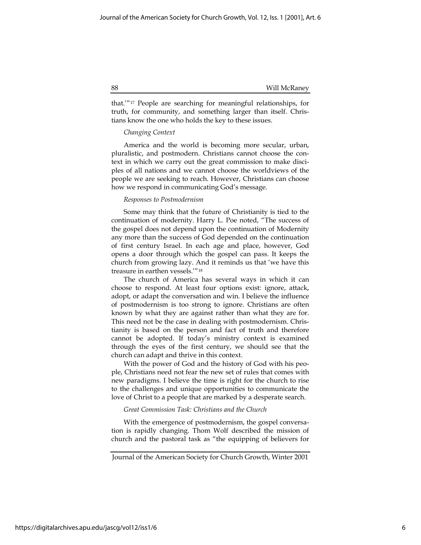that.'"17 People are searching for meaningful relationships, for truth, for community, and something larger than itself. Christians know the one who holds the key to these issues.

## Changing Context

America and the world is becoming more secular, urban, pluralistic, and postmodern. Christians cannot choose the context in which we carry out the great commission to make disciples of all nations and we cannot choose the worldviews of the people we are seeking to reach. However, Christians can choose how we respond in communicating God's message.

## Responses to Postmodernism

Some may think that the future of Christianity is tied to the continuation of modernity. Harry L. Poe noted, "The success of the gospel does not depend upon the continuation of Modernity any more than the success of God depended on the continuation of first century Israel. In each age and place, however, God opens a door through which the gospel can pass. It keeps the church from growing lazy. And it reminds us that 'we have this treasure in earthen vessels.'"<sup>18</sup>

The church of America has several ways in which it can choose to respond. At least four options exist: ignore, attack, adopt, or adapt the conversation and win. I believe the influence of postmodernism is too strong to ignore. Christians are often known by what they are against rather than what they are for. This need not be the case in dealing with postmodernism. Christianity is based on the person and fact of truth and therefore cannot be adopted. If today's ministry context is examined through the eyes of the first century, we should see that the church can adapt and thrive in this context.

With the power of God and the history of God with his people, Christians need not fear the new set of rules that comes with new paradigms. I believe the time is right for the church to rise to the challenges and unique opportunities to communicate the love of Christ to a people that are marked by a desperate search.

## Great Commission Task: Christians and the Church

With the emergence of postmodernism, the gospel conversation is rapidly changing. Thom Wolf described the mission of church and the pastoral task as "the equipping of believers for

Journal of the American Society for Church Growth, Winter 2001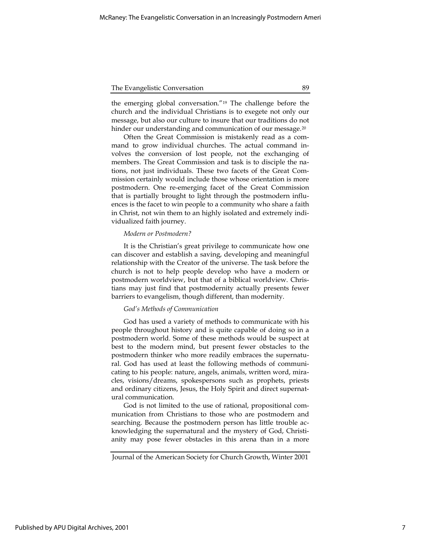the emerging global conversation."19 The challenge before the church and the individual Christians is to exegete not only our message, but also our culture to insure that our traditions do not hinder our understanding and communication of our message.<sup>20</sup>

Often the Great Commission is mistakenly read as a command to grow individual churches. The actual command involves the conversion of lost people, not the exchanging of members. The Great Commission and task is to disciple the nations, not just individuals. These two facets of the Great Commission certainly would include those whose orientation is more postmodern. One re-emerging facet of the Great Commission that is partially brought to light through the postmodern influences is the facet to win people to a community who share a faith in Christ, not win them to an highly isolated and extremely individualized faith journey.

## Modern or Postmodern?

It is the Christian's great privilege to communicate how one can discover and establish a saving, developing and meaningful relationship with the Creator of the universe. The task before the church is not to help people develop who have a modern or postmodern worldview, but that of a biblical worldview. Christians may just find that postmodernity actually presents fewer barriers to evangelism, though different, than modernity.

## God's Methods of Communication

God has used a variety of methods to communicate with his people throughout history and is quite capable of doing so in a postmodern world. Some of these methods would be suspect at best to the modern mind, but present fewer obstacles to the postmodern thinker who more readily embraces the supernatural. God has used at least the following methods of communicating to his people: nature, angels, animals, written word, miracles, visions/dreams, spokespersons such as prophets, priests and ordinary citizens, Jesus, the Holy Spirit and direct supernatural communication.

God is not limited to the use of rational, propositional communication from Christians to those who are postmodern and searching. Because the postmodern person has little trouble acknowledging the supernatural and the mystery of God, Christianity may pose fewer obstacles in this arena than in a more

Journal of the American Society for Church Growth, Winter 2001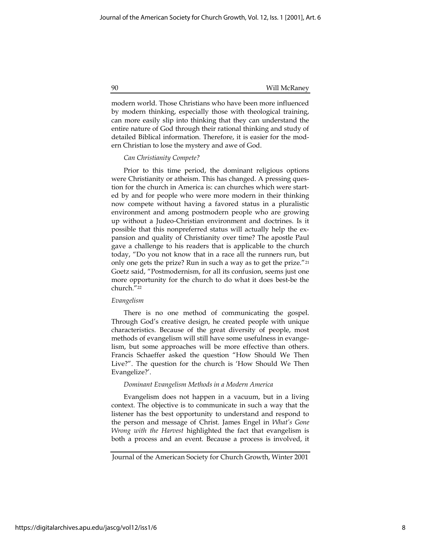modern world. Those Christians who have been more influenced by modern thinking, especially those with theological training, can more easily slip into thinking that they can understand the entire nature of God through their rational thinking and study of detailed Biblical information. Therefore, it is easier for the modern Christian to lose the mystery and awe of God.

## Can Christianity Compete?

Prior to this time period, the dominant religious options were Christianity or atheism. This has changed. A pressing question for the church in America is: can churches which were started by and for people who were more modern in their thinking now compete without having a favored status in a pluralistic environment and among postmodern people who are growing up without a Judeo-Christian environment and doctrines. Is it possible that this nonpreferred status will actually help the expansion and quality of Christianity over time? The apostle Paul gave a challenge to his readers that is applicable to the church today, "Do you not know that in a race all the runners run, but only one gets the prize? Run in such a way as to get the prize."<sup>21</sup> Goetz said, "Postmodernism, for all its confusion, seems just one more opportunity for the church to do what it does best-be the church."<sup>22</sup>

#### Evangelism

There is no one method of communicating the gospel. Through God's creative design, he created people with unique characteristics. Because of the great diversity of people, most methods of evangelism will still have some usefulness in evangelism, but some approaches will be more effective than others. Francis Schaeffer asked the question "How Should We Then Live?". The question for the church is 'How Should We Then Evangelize?'.

#### Dominant Evangelism Methods in a Modern America

Evangelism does not happen in a vacuum, but in a living context. The objective is to communicate in such a way that the listener has the best opportunity to understand and respond to the person and message of Christ. James Engel in What's Gone Wrong with the Harvest highlighted the fact that evangelism is both a process and an event. Because a process is involved, it

Journal of the American Society for Church Growth, Winter 2001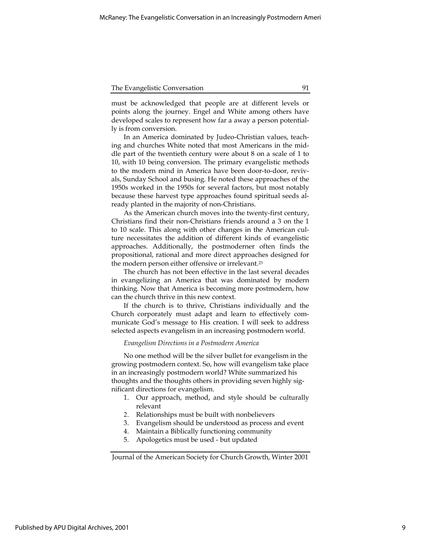must be acknowledged that people are at different levels or points along the journey. Engel and White among others have developed scales to represent how far a away a person potentially is from conversion.

In an America dominated by Judeo-Christian values, teaching and churches White noted that most Americans in the middle part of the twentieth century were about 8 on a scale of 1 to 10, with 10 being conversion. The primary evangelistic methods to the modern mind in America have been door-to-door, revivals, Sunday School and busing. He noted these approaches of the 1950s worked in the 1950s for several factors, but most notably because these harvest type approaches found spiritual seeds already planted in the majority of non-Christians.

As the American church moves into the twenty-first century, Christians find their non-Christians friends around a 3 on the 1 to 10 scale. This along with other changes in the American culture necessitates the addition of different kinds of evangelistic approaches. Additionally, the postmoderner often finds the propositional, rational and more direct approaches designed for the modern person either offensive or irrelevant.<sup>23</sup>

The church has not been effective in the last several decades in evangelizing an America that was dominated by modern thinking. Now that America is becoming more postmodern, how can the church thrive in this new context.

If the church is to thrive, Christians individually and the Church corporately must adapt and learn to effectively communicate God's message to His creation. I will seek to address selected aspects evangelism in an increasing postmodern world.

#### Evangelism Directions in a Postmodern America

No one method will be the silver bullet for evangelism in the growing postmodern context. So, how will evangelism take place in an increasingly postmodern world? White summarized his thoughts and the thoughts others in providing seven highly significant directions for evangelism.

- 1. Our approach, method, and style should be culturally relevant
- 2. Relationships must be built with nonbelievers
- 3. Evangelism should be understood as process and event
- 4. Maintain a Biblically functioning community
- 5. Apologetics must be used but updated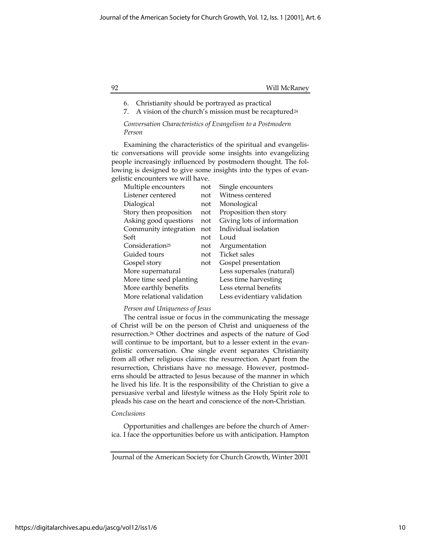## 92 Will McRaney

- 6. Christianity should be portrayed as practical
- 7. A vision of the church's mission must be recaptured $24$

## Conversation Characteristics of Evangelism to a Postmodern Person

Examining the characteristics of the spiritual and evangelistic conversations will provide some insights into evangelizing people increasingly influenced by postmodern thought. The following is designed to give some insights into the types of evangelistic encounters we will have.

| Multiple encounters         | not | Single encounters           |
|-----------------------------|-----|-----------------------------|
| Listener centered           | not | Witness centered            |
| Dialogical                  | not | Monological                 |
| Story then proposition      | not | Proposition then story      |
| Asking good questions       | not | Giving lots of information  |
| Community integration       | not | Individual isolation        |
| Soft                        | not | Loud                        |
| Consideration <sup>25</sup> | not | Argumentation               |
| Guided tours                | not | <b>Ticket sales</b>         |
| Gospel story                | not | Gospel presentation         |
| More supernatural           |     | Less supersales (natural)   |
| More time seed planting     |     | Less time harvesting        |
| More earthly benefits       |     | Less eternal benefits       |
| More relational validation  |     | Less evidentiary validation |

## Person and Uniqueness of Jesus

The central issue or focus in the communicating the message of Christ will be on the person of Christ and uniqueness of the resurrection.26 Other doctrines and aspects of the nature of God will continue to be important, but to a lesser extent in the evangelistic conversation. One single event separates Christianity from all other religious claims: the resurrection. Apart from the resurrection, Christians have no message. However, postmoderns should be attracted to Jesus because of the manner in which he lived his life. It is the responsibility of the Christian to give a persuasive verbal and lifestyle witness as the Holy Spirit role to pleads his case on the heart and conscience of the non-Christian.

## Conclusions

Opportunities and challenges are before the church of America. I face the opportunities before us with anticipation. Hampton

Journal of the American Society for Church Growth, Winter 2001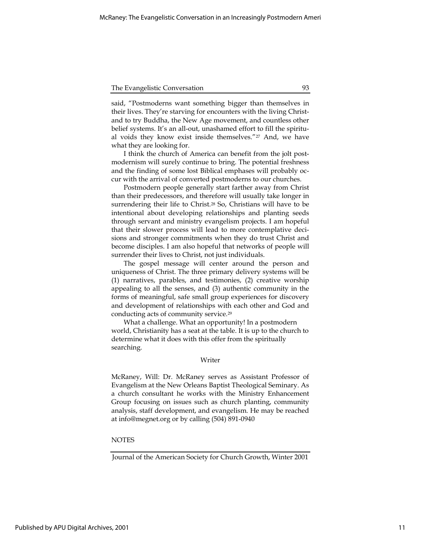said, "Postmoderns want something bigger than themselves in their lives. They're starving for encounters with the living Christand to try Buddha, the New Age movement, and countless other belief systems. It's an all-out, unashamed effort to fill the spiritual voids they know exist inside themselves."27 And, we have what they are looking for.

I think the church of America can benefit from the jolt postmodernism will surely continue to bring. The potential freshness and the finding of some lost Biblical emphases will probably occur with the arrival of converted postmoderns to our churches.

Postmodern people generally start farther away from Christ than their predecessors, and therefore will usually take longer in surrendering their life to Christ.28 So, Christians will have to be intentional about developing relationships and planting seeds through servant and ministry evangelism projects. I am hopeful that their slower process will lead to more contemplative decisions and stronger commitments when they do trust Christ and become disciples. I am also hopeful that networks of people will surrender their lives to Christ, not just individuals.

The gospel message will center around the person and uniqueness of Christ. The three primary delivery systems will be (1) narratives, parables, and testimonies, (2) creative worship appealing to all the senses, and (3) authentic community in the forms of meaningful, safe small group experiences for discovery and development of relationships with each other and God and conducting acts of community service.<sup>29</sup>

What a challenge. What an opportunity! In a postmodern world, Christianity has a seat at the table. It is up to the church to determine what it does with this offer from the spiritually searching.

## Writer

McRaney, Will: Dr. McRaney serves as Assistant Professor of Evangelism at the New Orleans Baptist Theological Seminary. As a church consultant he works with the Ministry Enhancement Group focusing on issues such as church planting, community analysis, staff development, and evangelism. He may be reached at info@megnet.org or by calling (504) 891-0940

## **NOTES**

Journal of the American Society for Church Growth, Winter 2001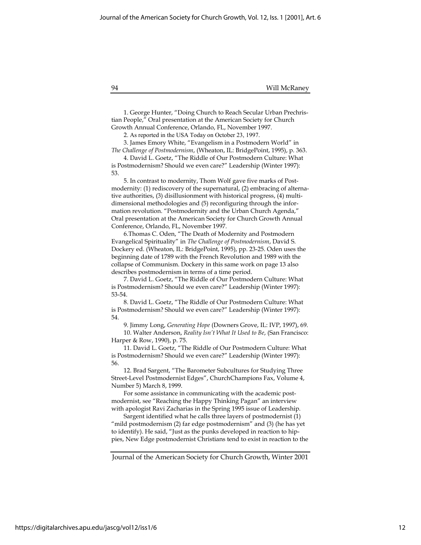94 Will McRaney

1. George Hunter, "Doing Church to Reach Secular Urban Prechristian People," Oral presentation at the American Society for Church Growth Annual Conference, Orlando, FL, November 1997.

2. As reported in the USA Today on October 23, 1997.

3. James Emory White, "Evangelism in a Postmodern World" in The Challenge of Postmodernism, (Wheaton, IL: BridgePoint, 1995), p. 363.

4. David L. Goetz, "The Riddle of Our Postmodern Culture: What is Postmodernism? Should we even care?" Leadership (Winter 1997): 53.

5. In contrast to modernity, Thom Wolf gave five marks of Postmodernity: (1) rediscovery of the supernatural, (2) embracing of alternative authorities, (3) disillusionment with historical progress, (4) multidimensional methodologies and (5) reconfiguring through the information revolution. "Postmodernity and the Urban Church Agenda," Oral presentation at the American Society for Church Growth Annual Conference, Orlando, FL, November 1997.

6.Thomas C. Oden, "The Death of Modernity and Postmodern Evangelical Spirituality" in The Challenge of Postmodernism, David S. Dockery ed. (Wheaton, IL: BridgePoint, 1995), pp. 23-25. Oden uses the beginning date of 1789 with the French Revolution and 1989 with the collapse of Communism. Dockery in this same work on page 13 also describes postmodernism in terms of a time period.

7. David L. Goetz, "The Riddle of Our Postmodern Culture: What is Postmodernism? Should we even care?" Leadership (Winter 1997): 53-54.

8. David L. Goetz, "The Riddle of Our Postmodern Culture: What is Postmodernism? Should we even care?" Leadership (Winter 1997): 54.

9. Jimmy Long, Generating Hope (Downers Grove, IL: IVP, 1997), 69.

10. Walter Anderson, Reality Isn't What It Used to Be, (San Francisco: Harper & Row, 1990), p. 75.

11. David L. Goetz, "The Riddle of Our Postmodern Culture: What is Postmodernism? Should we even care?" Leadership (Winter 1997): 56.

12. Brad Sargent, "The Barometer Subcultures for Studying Three Street-Level Postmodernist Edges", ChurchChampions Fax, Volume 4, Number 5) March 8, 1999.

For some assistance in communicating with the academic postmodernist, see "Reaching the Happy Thinking Pagan" an interview with apologist Ravi Zacharias in the Spring 1995 issue of Leadership.

Sargent identified what he calls three layers of postmodernist (1) "mild postmodernism (2) far edge postmodernism" and (3) (he has yet to identify). He said, "Just as the punks developed in reaction to hippies, New Edge postmodernist Christians tend to exist in reaction to the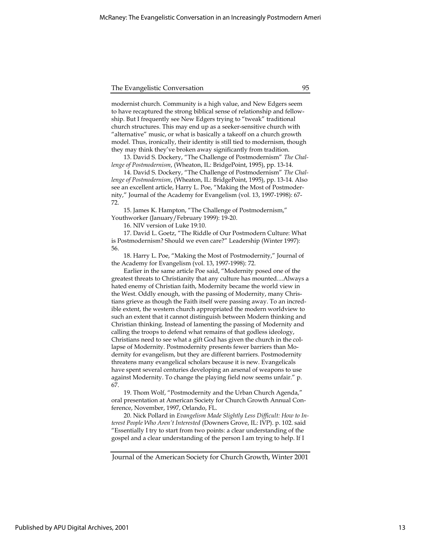modernist church. Community is a high value, and New Edgers seem to have recaptured the strong biblical sense of relationship and fellowship. But I frequently see New Edgers trying to "tweak" traditional church structures. This may end up as a seeker-sensitive church with "alternative" music, or what is basically a takeoff on a church growth model. Thus, ironically, their identity is still tied to modernism, though they may think they've broken away significantly from tradition.

13. David S. Dockery, "The Challenge of Postmodernism" The Challenge of Postmodernism, (Wheaton, IL: BridgePoint, 1995), pp. 13-14.

14. David S. Dockery, "The Challenge of Postmodernism" The Challenge of Postmodernism, (Wheaton, IL: BridgePoint, 1995), pp. 13-14. Also see an excellent article, Harry L. Poe, "Making the Most of Postmodernity," Journal of the Academy for Evangelism (vol. 13, 1997-1998): 67- 72.

15. James K. Hampton, "The Challenge of Postmodernism," Youthworker (January/February 1999): 19-20.

16. NIV version of Luke 19:10.

17. David L. Goetz, "The Riddle of Our Postmodern Culture: What is Postmodernism? Should we even care?" Leadership (Winter 1997): 56.

18. Harry L. Poe, "Making the Most of Postmodernity," Journal of the Academy for Evangelism (vol. 13, 1997-1998): 72.

Earlier in the same article Poe said, "Modernity posed one of the greatest threats to Christianity that any culture has mounted....Always a hated enemy of Christian faith, Modernity became the world view in the West. Oddly enough, with the passing of Modernity, many Christians grieve as though the Faith itself were passing away. To an incredible extent, the western church appropriated the modern worldview to such an extent that it cannot distinguish between Modern thinking and Christian thinking. Instead of lamenting the passing of Modernity and calling the troops to defend what remains of that godless ideology, Christians need to see what a gift God has given the church in the collapse of Modernity. Postmodernity presents fewer barriers than Modernity for evangelism, but they are different barriers. Postmodernity threatens many evangelical scholars because it is new. Evangelicals have spent several centuries developing an arsenal of weapons to use against Modernity. To change the playing field now seems unfair." p. 67.

19. Thom Wolf, "Postmodernity and the Urban Church Agenda," oral presentation at American Society for Church Growth Annual Conference, November, 1997, Orlando, FL.

20. Nick Pollard in Evangelism Made Slightly Less Difficult: How to Interest People Who Aren't Interested (Downers Grove, IL: IVP). p. 102. said "Essentially I try to start from two points: a clear understanding of the gospel and a clear understanding of the person I am trying to help. If I

Journal of the American Society for Church Growth, Winter 2001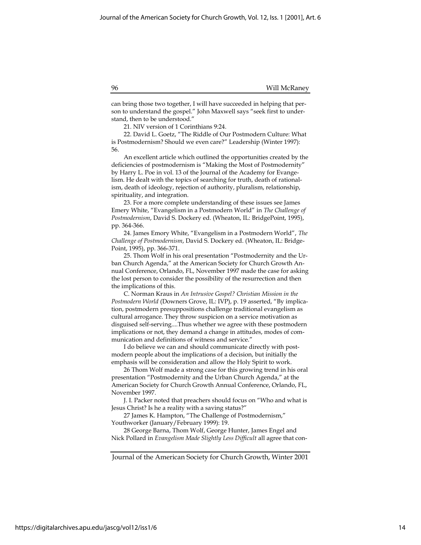can bring those two together, I will have succeeded in helping that person to understand the gospel." John Maxwell says "seek first to understand, then to be understood."

21. NIV version of 1 Corinthians 9:24.

22. David L. Goetz, "The Riddle of Our Postmodern Culture: What is Postmodernism? Should we even care?" Leadership (Winter 1997): 56.

An excellent article which outlined the opportunities created by the deficiencies of postmodernism is "Making the Most of Postmodernity" by Harry L. Poe in vol. 13 of the Journal of the Academy for Evangelism. He dealt with the topics of searching for truth, death of rationalism, death of ideology, rejection of authority, pluralism, relationship, spirituality, and integration.

23. For a more complete understanding of these issues see James Emery White, "Evangelism in a Postmodern World" in The Challenge of Postmodernism, David S. Dockery ed. (Wheaton, IL: BridgePoint, 1995), pp. 364-366.

24. James Emory White, "Evangelism in a Postmodern World", The Challenge of Postmodernism, David S. Dockery ed. (Wheaton, IL: Bridge-Point, 1995), pp. 366-371.

25. Thom Wolf in his oral presentation "Postmodernity and the Urban Church Agenda," at the American Society for Church Growth Annual Conference, Orlando, FL, November 1997 made the case for asking the lost person to consider the possibility of the resurrection and then the implications of this.

C. Norman Kraus in An Intrusive Gospel? Christian Mission in the Postmodern World (Downers Grove, IL: IVP), p. 19 asserted, "By implication, postmodern presuppositions challenge traditional evangelism as cultural arrogance. They throw suspicion on a service motivation as disguised self-serving....Thus whether we agree with these postmodern implications or not, they demand a change in attitudes, modes of communication and definitions of witness and service."

I do believe we can and should communicate directly with postmodern people about the implications of a decision, but initially the emphasis will be consideration and allow the Holy Spirit to work.

26 Thom Wolf made a strong case for this growing trend in his oral presentation "Postmodernity and the Urban Church Agenda," at the American Society for Church Growth Annual Conference, Orlando, FL, November 1997.

J. I. Packer noted that preachers should focus on "Who and what is Jesus Christ? Is he a reality with a saving status?"

27 James K. Hampton, "The Challenge of Postmodernism," Youthworker (January/February 1999): 19.

28 George Barna, Thom Wolf, George Hunter, James Engel and Nick Pollard in Evangelism Made Slightly Less Difficult all agree that con-

https://digitalarchives.apu.edu/jascg/vol12/iss1/6